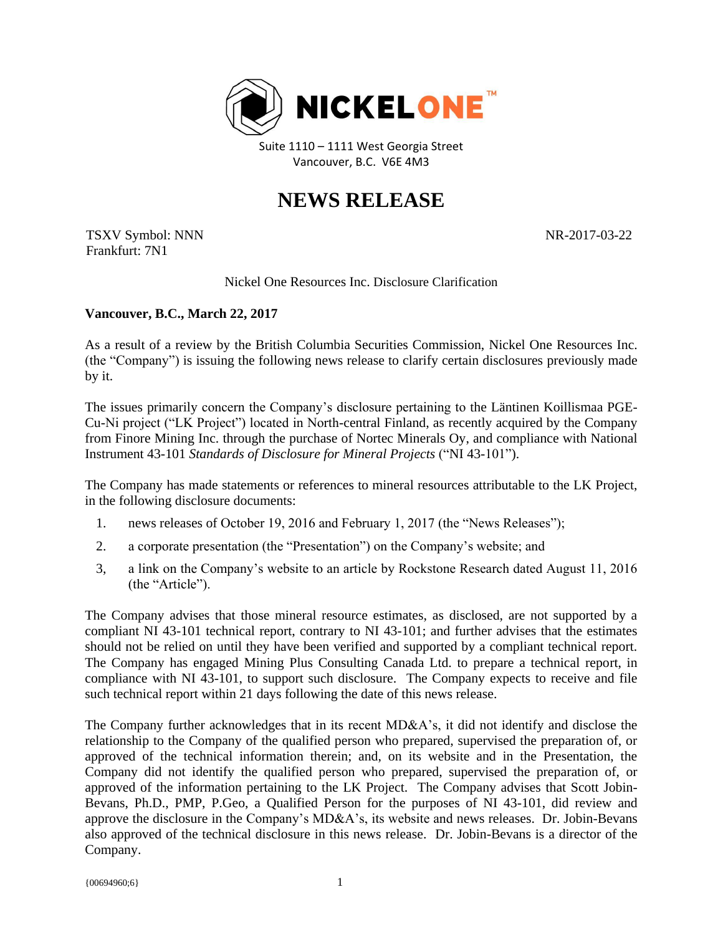

Suite 1110 – 1111 West Georgia Street Vancouver, B.C. V6E 4M3

## **NEWS RELEASE**

TSXV Symbol: NNN Frankfurt: 7N1

NR-2017-03-22

Nickel One Resources Inc. Disclosure Clarification

## **Vancouver, B.C., March 22, 2017**

As a result of a review by the British Columbia Securities Commission, Nickel One Resources Inc. (the "Company") is issuing the following news release to clarify certain disclosures previously made by it.

The issues primarily concern the Company's disclosure pertaining to the Läntinen Koillismaa PGE-Cu-Ni project ("LK Project") located in North-central Finland, as recently acquired by the Company from Finore Mining Inc. through the purchase of Nortec Minerals Oy, and compliance with National Instrument 43-101 *Standards of Disclosure for Mineral Projects* ("NI 43-101").

The Company has made statements or references to mineral resources attributable to the LK Project, in the following disclosure documents:

- 1. news releases of October 19, 2016 and February 1, 2017 (the "News Releases");
- 2. a corporate presentation (the "Presentation") on the Company's website; and
- 3, a link on the Company's website to an article by Rockstone Research dated August 11, 2016 (the "Article").

The Company advises that those mineral resource estimates, as disclosed, are not supported by a compliant NI 43-101 technical report, contrary to NI 43-101; and further advises that the estimates should not be relied on until they have been verified and supported by a compliant technical report. The Company has engaged Mining Plus Consulting Canada Ltd. to prepare a technical report, in compliance with NI 43-101, to support such disclosure. The Company expects to receive and file such technical report within 21 days following the date of this news release.

The Company further acknowledges that in its recent MD&A's, it did not identify and disclose the relationship to the Company of the qualified person who prepared, supervised the preparation of, or approved of the technical information therein; and, on its website and in the Presentation, the Company did not identify the qualified person who prepared, supervised the preparation of, or approved of the information pertaining to the LK Project. The Company advises that Scott Jobin-Bevans, Ph.D., PMP, P.Geo, a Qualified Person for the purposes of NI 43-101, did review and approve the disclosure in the Company's MD&A's, its website and news releases. Dr. Jobin-Bevans also approved of the technical disclosure in this news release. Dr. Jobin-Bevans is a director of the Company.